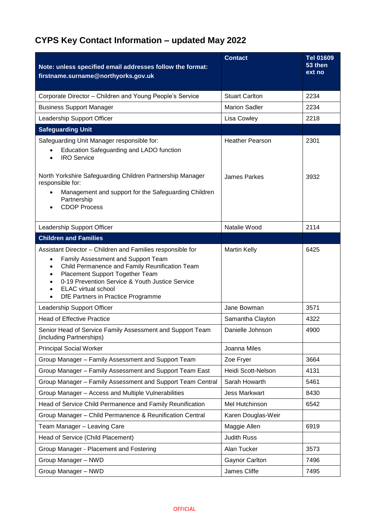## **CYPS Key Contact Information – updated May 2022**

| Note: unless specified email addresses follow the format:<br>firstname.surname@northyorks.gov.uk                                                                                                                                                                                                                                                                 | <b>Contact</b>         | <b>Tel 01609</b><br>53 then<br>ext no |
|------------------------------------------------------------------------------------------------------------------------------------------------------------------------------------------------------------------------------------------------------------------------------------------------------------------------------------------------------------------|------------------------|---------------------------------------|
| Corporate Director - Children and Young People's Service                                                                                                                                                                                                                                                                                                         | <b>Stuart Carlton</b>  | 2234                                  |
| <b>Business Support Manager</b>                                                                                                                                                                                                                                                                                                                                  | <b>Marion Sadler</b>   | 2234                                  |
| Leadership Support Officer                                                                                                                                                                                                                                                                                                                                       | Lisa Cowley            | 2218                                  |
| <b>Safeguarding Unit</b>                                                                                                                                                                                                                                                                                                                                         |                        |                                       |
| Safeguarding Unit Manager responsible for:                                                                                                                                                                                                                                                                                                                       | <b>Heather Pearson</b> | 2301                                  |
| Education Safeguarding and LADO function<br><b>IRO</b> Service<br>$\bullet$                                                                                                                                                                                                                                                                                      |                        |                                       |
| North Yorkshire Safeguarding Children Partnership Manager<br>responsible for:                                                                                                                                                                                                                                                                                    | James Parkes           | 3932                                  |
| Management and support for the Safeguarding Children<br>$\bullet$<br>Partnership<br><b>CDOP Process</b>                                                                                                                                                                                                                                                          |                        |                                       |
| Leadership Support Officer                                                                                                                                                                                                                                                                                                                                       | Natalie Wood           | 2114                                  |
| <b>Children and Families</b>                                                                                                                                                                                                                                                                                                                                     |                        |                                       |
| Assistant Director - Children and Families responsible for<br>Family Assessment and Support Team<br>$\bullet$<br>Child Permanence and Family Reunification Team<br>$\bullet$<br>Placement Support Together Team<br>$\bullet$<br>0-19 Prevention Service & Youth Justice Service<br><b>ELAC</b> virtual school<br>$\bullet$<br>DfE Partners in Practice Programme | <b>Martin Kelly</b>    | 6425                                  |
| Leadership Support Officer                                                                                                                                                                                                                                                                                                                                       | Jane Bowman            | 3571                                  |
| <b>Head of Effective Practice</b>                                                                                                                                                                                                                                                                                                                                | Samantha Clayton       | 4322                                  |
| Senior Head of Service Family Assessment and Support Team<br>(including Partnerships)                                                                                                                                                                                                                                                                            | Danielle Johnson       | 4900                                  |
| <b>Principal Social Worker</b>                                                                                                                                                                                                                                                                                                                                   | Joanna Miles           |                                       |
| Group Manager - Family Assessment and Support Team                                                                                                                                                                                                                                                                                                               | Zoe Fryer              | 3664                                  |
| Group Manager - Family Assessment and Support Team East                                                                                                                                                                                                                                                                                                          | Heidi Scott-Nelson     | 4131                                  |
| Group Manager - Family Assessment and Support Team Central                                                                                                                                                                                                                                                                                                       | Sarah Howarth          | 5461                                  |
| Group Manager - Access and Multiple Vulnerabilities                                                                                                                                                                                                                                                                                                              | <b>Jess Markwart</b>   | 8430                                  |
| Head of Service Child Permanence and Family Reunification                                                                                                                                                                                                                                                                                                        | Mel Hutchinson         | 6542                                  |
| Group Manager - Child Permanence & Reunification Central                                                                                                                                                                                                                                                                                                         | Karen Douglas-Weir     |                                       |
| Team Manager - Leaving Care                                                                                                                                                                                                                                                                                                                                      | Maggie Allen           | 6919                                  |
| Head of Service (Child Placement)                                                                                                                                                                                                                                                                                                                                | <b>Judith Russ</b>     |                                       |
| Group Manager - Placement and Fostering                                                                                                                                                                                                                                                                                                                          | Alan Tucker            | 3573                                  |
| Group Manager - NWD                                                                                                                                                                                                                                                                                                                                              | <b>Gaynor Carlton</b>  | 7496                                  |
| Group Manager - NWD                                                                                                                                                                                                                                                                                                                                              | James Cliffe           | 7495                                  |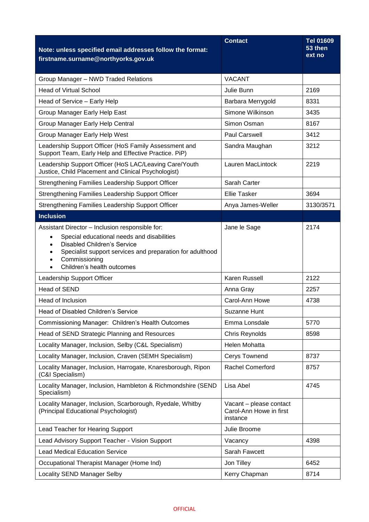| Note: unless specified email addresses follow the format:<br>firstname.surname@northyorks.gov.uk                                                                                                                                                                                       | <b>Contact</b>                                                 | Tel 01609<br>53 then<br>ext no |
|----------------------------------------------------------------------------------------------------------------------------------------------------------------------------------------------------------------------------------------------------------------------------------------|----------------------------------------------------------------|--------------------------------|
| Group Manager - NWD Traded Relations                                                                                                                                                                                                                                                   | <b>VACANT</b>                                                  |                                |
| <b>Head of Virtual School</b>                                                                                                                                                                                                                                                          | Julie Bunn                                                     | 2169                           |
| Head of Service - Early Help                                                                                                                                                                                                                                                           | Barbara Merrygold                                              | 8331                           |
| Group Manager Early Help East                                                                                                                                                                                                                                                          | Simone Wilkinson                                               | 3435                           |
| Group Manager Early Help Central                                                                                                                                                                                                                                                       | Simon Osman                                                    | 8167                           |
| Group Manager Early Help West                                                                                                                                                                                                                                                          | <b>Paul Carswell</b>                                           | 3412                           |
| Leadership Support Officer (HoS Family Assessment and<br>Support Team, Early Help and Effective Practice. PiP)                                                                                                                                                                         | Sandra Maughan                                                 | 3212                           |
| Leadership Support Officer (HoS LAC/Leaving Care/Youth<br>Justice, Child Placement and Clinical Psychologist)                                                                                                                                                                          | Lauren MacLintock                                              | 2219                           |
| Strengthening Families Leadership Support Officer                                                                                                                                                                                                                                      | Sarah Carter                                                   |                                |
| Strengthening Families Leadership Support Officer                                                                                                                                                                                                                                      | <b>Ellie Tasker</b>                                            | 3694                           |
| Strengthening Families Leadership Support Officer                                                                                                                                                                                                                                      | Anya James-Weller                                              | 3130/3571                      |
| <b>Inclusion</b>                                                                                                                                                                                                                                                                       |                                                                |                                |
| Assistant Director - Inclusion responsible for:<br>Special educational needs and disabilities<br>$\bullet$<br><b>Disabled Children's Service</b><br>$\bullet$<br>Specialist support services and preparation for adulthood<br>Commissioning<br>Children's health outcomes<br>$\bullet$ | Jane le Sage                                                   | 2174                           |
| Leadership Support Officer                                                                                                                                                                                                                                                             | Karen Russell                                                  | 2122                           |
| Head of SEND                                                                                                                                                                                                                                                                           | Anna Gray                                                      | 2257                           |
| Head of Inclusion                                                                                                                                                                                                                                                                      | Carol-Ann Howe                                                 | 4738                           |
| Head of Disabled Children's Service                                                                                                                                                                                                                                                    | Suzanne Hunt                                                   |                                |
| Commissioning Manager: Children's Health Outcomes                                                                                                                                                                                                                                      | Emma Lonsdale                                                  | 5770                           |
| Head of SEND Strategic Planning and Resources                                                                                                                                                                                                                                          | Chris Reynolds                                                 | 8598                           |
| Locality Manager, Inclusion, Selby (C&L Specialism)                                                                                                                                                                                                                                    | Helen Mohatta                                                  |                                |
| Locality Manager, Inclusion, Craven (SEMH Specialism)                                                                                                                                                                                                                                  | Cerys Townend                                                  | 8737                           |
| Locality Manager, Inclusion, Harrogate, Knaresborough, Ripon<br>(C&I Specialism)                                                                                                                                                                                                       | Rachel Comerford                                               | 8757                           |
| Locality Manager, Inclusion, Hambleton & Richmondshire (SEND<br>Specialism)                                                                                                                                                                                                            | Lisa Abel                                                      | 4745                           |
| Locality Manager, Inclusion, Scarborough, Ryedale, Whitby<br>(Principal Educational Psychologist)                                                                                                                                                                                      | Vacant - please contact<br>Carol-Ann Howe in first<br>instance |                                |
| Lead Teacher for Hearing Support                                                                                                                                                                                                                                                       | Julie Broome                                                   |                                |
| Lead Advisory Support Teacher - Vision Support                                                                                                                                                                                                                                         | Vacancy                                                        | 4398                           |
| <b>Lead Medical Education Service</b>                                                                                                                                                                                                                                                  | Sarah Fawcett                                                  |                                |
| Occupational Therapist Manager (Home Ind)                                                                                                                                                                                                                                              | Jon Tilley                                                     | 6452                           |
| Locality SEND Manager Selby                                                                                                                                                                                                                                                            | Kerry Chapman                                                  | 8714                           |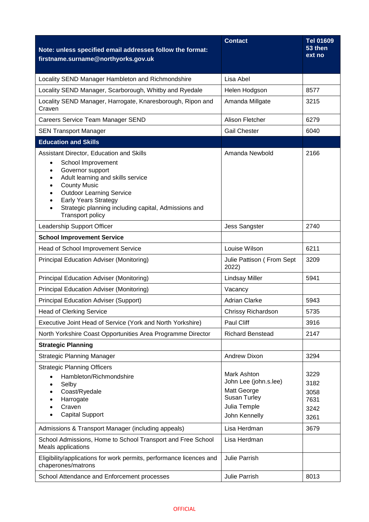| Note: unless specified email addresses follow the format:<br>firstname.surname@northyorks.gov.uk                                                                                                                                                                                                                                                                                  | <b>Contact</b>                                                                                       | <b>Tel 01609</b><br>53 then<br>ext no        |
|-----------------------------------------------------------------------------------------------------------------------------------------------------------------------------------------------------------------------------------------------------------------------------------------------------------------------------------------------------------------------------------|------------------------------------------------------------------------------------------------------|----------------------------------------------|
| Locality SEND Manager Hambleton and Richmondshire                                                                                                                                                                                                                                                                                                                                 | Lisa Abel                                                                                            |                                              |
| Locality SEND Manager, Scarborough, Whitby and Ryedale                                                                                                                                                                                                                                                                                                                            | Helen Hodgson                                                                                        | 8577                                         |
| Locality SEND Manager, Harrogate, Knaresborough, Ripon and<br>Craven                                                                                                                                                                                                                                                                                                              | Amanda Millgate                                                                                      | 3215                                         |
| Careers Service Team Manager SEND                                                                                                                                                                                                                                                                                                                                                 | Alison Fletcher                                                                                      | 6279                                         |
| <b>SEN Transport Manager</b>                                                                                                                                                                                                                                                                                                                                                      | <b>Gail Chester</b>                                                                                  | 6040                                         |
| <b>Education and Skills</b>                                                                                                                                                                                                                                                                                                                                                       |                                                                                                      |                                              |
| Assistant Director, Education and Skills<br>School Improvement<br>$\bullet$<br>Governor support<br>$\bullet$<br>Adult learning and skills service<br>$\bullet$<br><b>County Music</b><br>$\bullet$<br><b>Outdoor Learning Service</b><br>$\bullet$<br><b>Early Years Strategy</b><br>$\bullet$<br>Strategic planning including capital, Admissions and<br><b>Transport policy</b> | Amanda Newbold                                                                                       | 2166                                         |
| Leadership Support Officer                                                                                                                                                                                                                                                                                                                                                        | <b>Jess Sangster</b>                                                                                 | 2740                                         |
| <b>School Improvement Service</b>                                                                                                                                                                                                                                                                                                                                                 |                                                                                                      |                                              |
| Head of School Improvement Service                                                                                                                                                                                                                                                                                                                                                | Louise Wilson                                                                                        | 6211                                         |
| <b>Principal Education Adviser (Monitoring)</b>                                                                                                                                                                                                                                                                                                                                   | Julie Pattison (From Sept<br>2022)                                                                   | 3209                                         |
| <b>Principal Education Adviser (Monitoring)</b>                                                                                                                                                                                                                                                                                                                                   | <b>Lindsay Miller</b>                                                                                | 5941                                         |
| <b>Principal Education Adviser (Monitoring)</b>                                                                                                                                                                                                                                                                                                                                   | Vacancy                                                                                              |                                              |
| <b>Principal Education Adviser (Support)</b>                                                                                                                                                                                                                                                                                                                                      | <b>Adrian Clarke</b>                                                                                 | 5943                                         |
| <b>Head of Clerking Service</b>                                                                                                                                                                                                                                                                                                                                                   | Chrissy Richardson                                                                                   | 5735                                         |
| Executive Joint Head of Service (York and North Yorkshire)                                                                                                                                                                                                                                                                                                                        | Paul Cliff                                                                                           | 3916                                         |
| North Yorkshire Coast Opportunities Area Programme Director                                                                                                                                                                                                                                                                                                                       | <b>Richard Benstead</b>                                                                              | 2147                                         |
| <b>Strategic Planning</b>                                                                                                                                                                                                                                                                                                                                                         |                                                                                                      |                                              |
| <b>Strategic Planning Manager</b>                                                                                                                                                                                                                                                                                                                                                 | <b>Andrew Dixon</b>                                                                                  | 3294                                         |
| <b>Strategic Planning Officers</b><br>Hambleton/Richmondshire<br>Selby<br>Coast/Ryedale<br>Harrogate<br>Craven<br><b>Capital Support</b>                                                                                                                                                                                                                                          | Mark Ashton<br>John Lee (john.s.lee)<br>Matt George<br>Susan Turley<br>Julia Temple<br>John Kennelly | 3229<br>3182<br>3058<br>7631<br>3242<br>3261 |
| Admissions & Transport Manager (including appeals)                                                                                                                                                                                                                                                                                                                                | Lisa Herdman                                                                                         | 3679                                         |
| School Admissions, Home to School Transport and Free School<br>Meals applications                                                                                                                                                                                                                                                                                                 | Lisa Herdman                                                                                         |                                              |
| Eligibility/applications for work permits, performance licences and<br>chaperones/matrons                                                                                                                                                                                                                                                                                         | <b>Julie Parrish</b>                                                                                 |                                              |
| School Attendance and Enforcement processes                                                                                                                                                                                                                                                                                                                                       | Julie Parrish                                                                                        | 8013                                         |